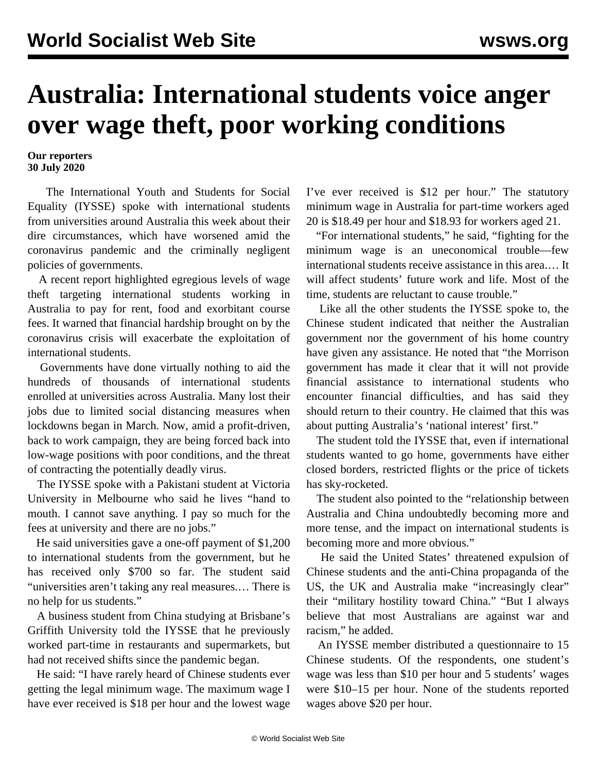## **Australia: International students voice anger over wage theft, poor working conditions**

**Our reporters 30 July 2020**

 The International Youth and Students for Social Equality (IYSSE) spoke with international students from universities around Australia this week about their dire circumstances, which have worsened amid the coronavirus pandemic and the criminally negligent policies of governments.

 A [recent report](/en/articles/2020/07/30/isst-j30.html) highlighted egregious levels of wage theft targeting international students working in Australia to pay for rent, food and exorbitant course fees. It warned that financial hardship brought on by the coronavirus crisis will exacerbate the exploitation of international students.

 Governments have done virtually nothing to aid the hundreds of thousands of international students enrolled at universities across Australia. Many lost their jobs due to limited social distancing measures when lockdowns began in March. Now, amid a profit-driven, back to work campaign, they are being forced back into low-wage positions with poor conditions, and the threat of contracting the potentially deadly virus.

 The IYSSE spoke with a Pakistani student at Victoria University in Melbourne who said he lives "hand to mouth. I cannot save anything. I pay so much for the fees at university and there are no jobs."

 He said universities gave a one-off payment of \$1,200 to international students from the government, but he has received only \$700 so far. The student said "universities aren't taking any real measures.… There is no help for us students."

 A business student from China studying at Brisbane's Griffith University told the IYSSE that he previously worked part-time in restaurants and supermarkets, but had not received shifts since the pandemic began.

 He said: "I have rarely heard of Chinese students ever getting the legal minimum wage. The maximum wage I have ever received is \$18 per hour and the lowest wage I've ever received is \$12 per hour." The statutory minimum wage in Australia for part-time workers aged 20 is \$18.49 per hour and \$18.93 for workers aged 21.

 "For international students," he said, "fighting for the minimum wage is an uneconomical trouble—few international students receive assistance in this area.… It will affect students' future work and life. Most of the time, students are reluctant to cause trouble."

 Like all the other students the IYSSE spoke to, the Chinese student indicated that neither the Australian government nor the government of his home country have given any assistance. He noted that "the Morrison government has made it clear that it will not provide financial assistance to international students who encounter financial difficulties, and has said they should return to their country. He claimed that this was about putting Australia's 'national interest' first."

 The student told the IYSSE that, even if international students wanted to go home, governments have either closed borders, restricted flights or the price of tickets has sky-rocketed.

 The student also pointed to the "relationship between Australia and China undoubtedly becoming more and more tense, and the impact on international students is becoming more and more obvious."

 He said the United States' threatened expulsion of Chinese students and the anti-China propaganda of the US, the UK and Australia make "increasingly clear" their "military hostility toward China." "But I always believe that most Australians are against war and racism," he added.

 An IYSSE member distributed a questionnaire to 15 Chinese students. Of the respondents, one student's wage was less than \$10 per hour and 5 students' wages were \$10–15 per hour. None of the students reported wages above \$20 per hour.